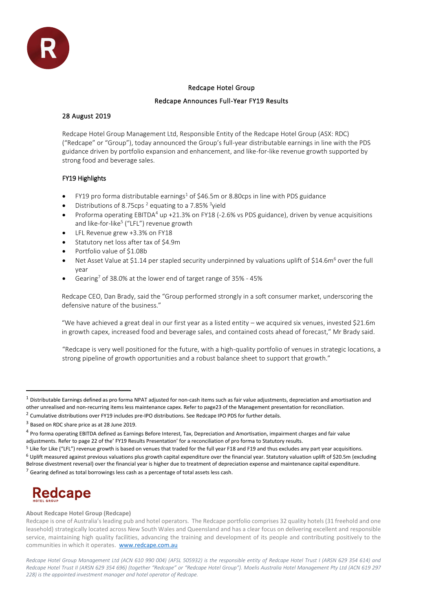

# Redcape Hotel Group

# Redcape Announces Full-Year FY19 Results

# 28 August 2019

Redcape Hotel Group Management Ltd, Responsible Entity of the Redcape Hotel Group (ASX: RDC) ("Redcape" or "Group"), today announced the Group's full-year distributable earnings in line with the PDS guidance driven by portfolio expansion and enhancement, and like-for-like revenue growth supported by strong food and beverage sales.

# FY19 Highlights

- FY19 pro forma distributable earnings<sup>1</sup> of \$46.5m or 8.80cps in line with PDS guidance
- Distributions of 8.75cps<sup>2</sup> equating to a 7.85% <sup>3</sup>yield
- Proforma operating EBITDA<sup>4</sup> up +21.3% on FY18 (-2.6% vs PDS guidance), driven by venue acquisitions and like-for-like<sup>5</sup> ("LFL") revenue growth
- LFL Revenue grew +3.3% on FY18
- Statutory net loss after tax of \$4.9m
- Portfolio value of \$1.08b
- Net Asset Value at \$1.14 per stapled security underpinned by valuations uplift of \$14.6m<sup>6</sup> over the full year
- Gearing<sup>7</sup> of 38.0% at the lower end of target range of 35% 45%

Redcape CEO, Dan Brady, said the "Group performed strongly in a soft consumer market, underscoring the defensive nature of the business."

"We have achieved a great deal in our first year as a listed entity – we acquired six venues, invested \$21.6m in growth capex, increased food and beverage sales, and contained costs ahead of forecast," Mr Brady said.

"Redcape is very well positioned for the future, with a high-quality portfolio of venues in strategic locations, a strong pipeline of growth opportunities and a robust balance sheet to support that growth."

- $5$  Like for Like ("LFL") revenue growth is based on venues that traded for the full year F18 and F19 and thus excludes any part year acquisitions.
- <sup>6</sup> Uplift measured against previous valuations plus growth capital expenditure over the financial year. Statutory valuation uplift of \$20.5m (excluding Belrose divestment reversal) over the financial year is higher due to treatment of depreciation expense and maintenance capital expenditure.

 $7$  Gearing defined as total borrowings less cash as a percentage of total assets less cash.

# **Redcape**

# **About Redcape Hotel Group (Redcape)**

 $1$  Distributable Earnings defined as pro forma NPAT adjusted for non-cash items such as fair value adjustments, depreciation and amortisation and other unrealised and non-recurring items less maintenance capex. Refer to page23 of the Management presentation for reconciliation.

 $^2$  Cumulative distributions over FY19 includes pre-IPO distributions. See Redcape IPO PDS for further details.

<sup>&</sup>lt;sup>3</sup> Based on RDC share price as at 28 June 2019.

<sup>&</sup>lt;sup>4</sup> Pro forma operating EBITDA defined as Earnings Before Interest, Tax, Depreciation and Amortisation, impairment charges and fair value adjustments. Refer to page 22 of the' FY19 Results Presentation' for a reconciliation of pro forma to Statutory results.

Redcape is one of Australia's leading pub and hotel operators. The Redcape portfolio comprises 32 quality hotels (31 freehold and one leasehold) strategically located across New South Wales and Queensland and has a clear focus on delivering excellent and responsible service, maintaining high quality facilities, advancing the training and development of its people and contributing positively to the communities in which it operates. [www.redcape.com.au](http://www.redcape.com.au/)

*Redcape Hotel Group Management Ltd (ACN 610 990 004) (AFSL 505932) is the responsible entity of Redcape Hotel Trust I (ARSN 629 354 614) and Redcape Hotel Trust II (ARSN 629 354 696) (together "Redcape" or "Redcape Hotel Group"). Moelis Australia Hotel Management Pty Ltd (ACN 619 297 228) is the appointed investment manager and hotel operator of Redcape.*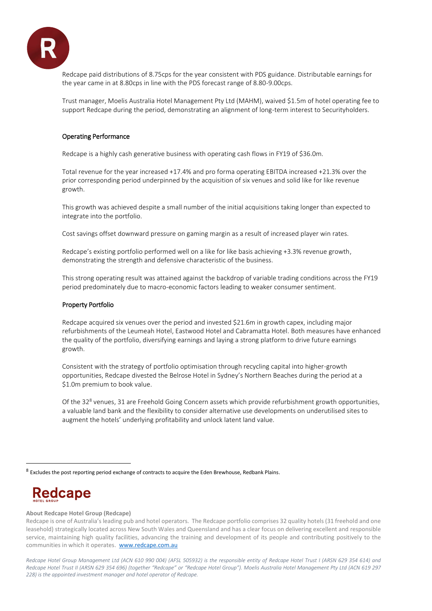

Redcape paid distributions of 8.75cps for the year consistent with PDS guidance. Distributable earnings for the year came in at 8.80cps in line with the PDS forecast range of 8.80-9.00cps.

Trust manager, Moelis Australia Hotel Management Pty Ltd (MAHM), waived \$1.5m of hotel operating fee to support Redcape during the period, demonstrating an alignment of long-term interest to Securityholders.

# Operating Performance

Redcape is a highly cash generative business with operating cash flows in FY19 of \$36.0m.

Total revenue for the year increased +17.4% and pro forma operating EBITDA increased +21.3% over the prior corresponding period underpinned by the acquisition of six venues and solid like for like revenue growth.

This growth was achieved despite a small number of the initial acquisitions taking longer than expected to integrate into the portfolio.

Cost savings offset downward pressure on gaming margin as a result of increased player win rates.

Redcape's existing portfolio performed well on a like for like basis achieving +3.3% revenue growth, demonstrating the strength and defensive characteristic of the business.

This strong operating result was attained against the backdrop of variable trading conditions across the FY19 period predominately due to macro-economic factors leading to weaker consumer sentiment.

# Property Portfolio

Redcape acquired six venues over the period and invested \$21.6m in growth capex, including major refurbishments of the Leumeah Hotel, Eastwood Hotel and Cabramatta Hotel. Both measures have enhanced the quality of the portfolio, diversifying earnings and laying a strong platform to drive future earnings growth.

Consistent with the strategy of portfolio optimisation through recycling capital into higher-growth opportunities, Redcape divested the Belrose Hotel in Sydney's Northern Beaches during the period at a \$1.0m premium to book value.

Of the 32<sup>8</sup> venues, 31 are Freehold Going Concern assets which provide refurbishment growth opportunities, a valuable land bank and the flexibility to consider alternative use developments on underutilised sites to augment the hotels' underlying profitability and unlock latent land value.

# **Redcape**

#### **About Redcape Hotel Group (Redcape)**

Redcape is one of Australia's leading pub and hotel operators. The Redcape portfolio comprises 32 quality hotels (31 freehold and one leasehold) strategically located across New South Wales and Queensland and has a clear focus on delivering excellent and responsible service, maintaining high quality facilities, advancing the training and development of its people and contributing positively to the communities in which it operates. [www.redcape.com.au](http://www.redcape.com.au/)

*Redcape Hotel Group Management Ltd (ACN 610 990 004) (AFSL 505932) is the responsible entity of Redcape Hotel Trust I (ARSN 629 354 614) and Redcape Hotel Trust II (ARSN 629 354 696) (together "Redcape" or "Redcape Hotel Group"). Moelis Australia Hotel Management Pty Ltd (ACN 619 297 228) is the appointed investment manager and hotel operator of Redcape.*

<sup>&</sup>lt;sup>8</sup> Excludes the post reporting period exchange of contracts to acquire the Eden Brewhouse, Redbank Plains.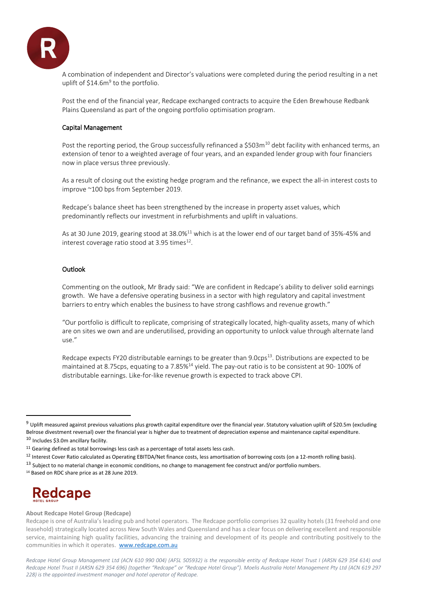

A combination of independent and Director's valuations were completed during the period resulting in a net uplift of \$14.6m<sup>9</sup> to the portfolio.

Post the end of the financial year, Redcape exchanged contracts to acquire the Eden Brewhouse Redbank Plains Queensland as part of the ongoing portfolio optimisation program.

## Capital Management

Post the reporting period, the Group successfully refinanced a  $$503m^{10}$  debt facility with enhanced terms, an extension of tenor to a weighted average of four years, and an expanded lender group with four financiers now in place versus three previously.

As a result of closing out the existing hedge program and the refinance, we expect the all-in interest costs to improve ~100 bps from September 2019.

Redcape's balance sheet has been strengthened by the increase in property asset values, which predominantly reflects our investment in refurbishments and uplift in valuations.

As at 30 June 2019, gearing stood at 38.0%<sup>11</sup> which is at the lower end of our target band of 35%-45% and interest coverage ratio stood at 3.95 times $^{12}$ .

#### **Outlook**

Commenting on the outlook, Mr Brady said: "We are confident in Redcape's ability to deliver solid earnings growth. We have a defensive operating business in a sector with high regulatory and capital investment barriers to entry which enables the business to have strong cashflows and revenue growth."

"Our portfolio is difficult to replicate, comprising of strategically located, high-quality assets, many of which are on sites we own and are underutilised, providing an opportunity to unlock value through alternate land use."

Redcape expects FY20 distributable earnings to be greater than 9.0cps<sup>13</sup>. Distributions are expected to be maintained at 8.75cps, equating to a 7.85%<sup>14</sup> yield. The pay-out ratio is to be consistent at 90- 100% of distributable earnings. Like-for-like revenue growth is expected to track above CPI.

# **Redcape**

#### **About Redcape Hotel Group (Redcape)**

 $9$  Uplift measured against previous valuations plus growth capital expenditure over the financial year. Statutory valuation uplift of \$20.5m (excluding Belrose divestment reversal) over the financial year is higher due to treatment of depreciation expense and maintenance capital expenditure. 10 Includes \$3.0m ancillary facility.

 $11$  Gearing defined as total borrowings less cash as a percentage of total assets less cash.

<sup>&</sup>lt;sup>12</sup> Interest Cover Ratio calculated as Operating EBITDA/Net finance costs, less amortisation of borrowing costs (on a 12-month rolling basis).

 $13$  Subject to no material change in economic conditions, no change to management fee construct and/or portfolio numbers.

<sup>14</sup> Based on RDC share price as at 28 June 2019.

Redcape is one of Australia's leading pub and hotel operators. The Redcape portfolio comprises 32 quality hotels (31 freehold and one leasehold) strategically located across New South Wales and Queensland and has a clear focus on delivering excellent and responsible service, maintaining high quality facilities, advancing the training and development of its people and contributing positively to the communities in which it operates. [www.redcape.com.au](http://www.redcape.com.au/)

*Redcape Hotel Group Management Ltd (ACN 610 990 004) (AFSL 505932) is the responsible entity of Redcape Hotel Trust I (ARSN 629 354 614) and Redcape Hotel Trust II (ARSN 629 354 696) (together "Redcape" or "Redcape Hotel Group"). Moelis Australia Hotel Management Pty Ltd (ACN 619 297 228) is the appointed investment manager and hotel operator of Redcape.*